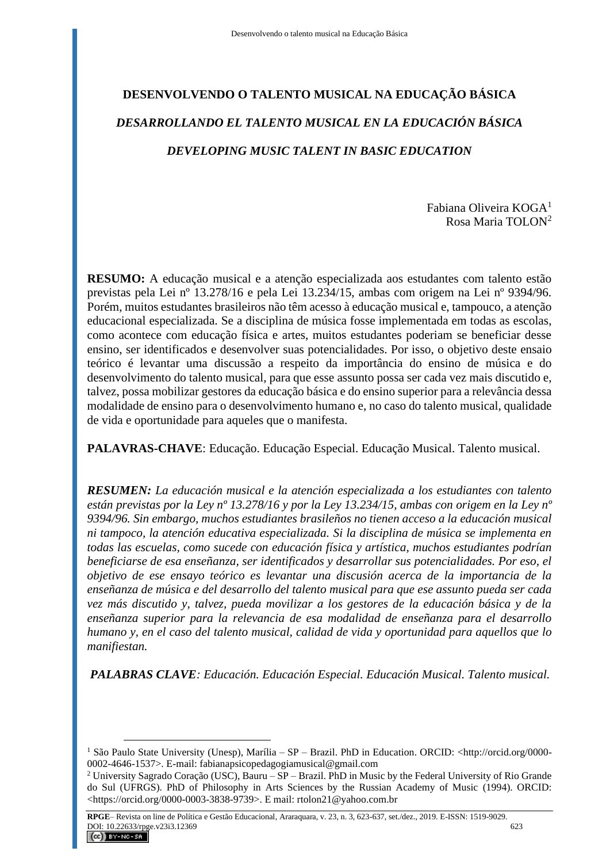# **DESENVOLVENDO O TALENTO MUSICAL NA EDUCAÇÃO BÁSICA** *DESARROLLANDO EL TALENTO MUSICAL EN LA EDUCACIÓN BÁSICA DEVELOPING MUSIC TALENT IN BASIC EDUCATION*

Fabiana Oliveira KOGA<sup>1</sup> Rosa Maria TOLON<sup>2</sup>

**RESUMO:** A educação musical e a atenção especializada aos estudantes com talento estão previstas pela Lei nº 13.278/16 e pela Lei 13.234/15, ambas com origem na Lei nº 9394/96. Porém, muitos estudantes brasileiros não têm acesso à educação musical e, tampouco, a atenção educacional especializada. Se a disciplina de música fosse implementada em todas as escolas, como acontece com educação física e artes, muitos estudantes poderiam se beneficiar desse ensino, ser identificados e desenvolver suas potencialidades. Por isso, o objetivo deste ensaio teórico é levantar uma discussão a respeito da importância do ensino de música e do desenvolvimento do talento musical, para que esse assunto possa ser cada vez mais discutido e, talvez, possa mobilizar gestores da educação básica e do ensino superior para a relevância dessa modalidade de ensino para o desenvolvimento humano e, no caso do talento musical, qualidade de vida e oportunidade para aqueles que o manifesta.

**PALAVRAS-CHAVE**: Educação. Educação Especial. Educação Musical. Talento musical.

*RESUMEN: La educación musical e la atención especializada a los estudiantes con talento están previstas por la Ley nº 13.278/16 y por la Ley 13.234/15, ambas con origem en la Ley nº 9394/96. Sin embargo, muchos estudiantes brasileños no tienen acceso a la educación musical ni tampoco, la atención educativa especializada. Si la disciplina de música se implementa en todas las escuelas, como sucede con educación física y artística, muchos estudiantes podrían beneficiarse de esa enseñanza, ser identificados y desarrollar sus potencialidades. Por eso, el objetivo de ese ensayo teórico es levantar una discusión acerca de la importancia de la enseñanza de música e del desarrollo del talento musical para que ese assunto pueda ser cada vez más discutido y, talvez, pueda movilizar a los gestores de la educación básica y de la enseñanza superior para la relevancia de esa modalidad de enseñanza para el desarrollo humano y, en el caso del talento musical, calidad de vida y oportunidad para aquellos que lo manifiestan.*

*PALABRAS CLAVE: Educación. Educación Especial. Educación Musical. Talento musical.*

<sup>1</sup> São Paulo State University (Unesp), Marília – SP – Brazil. PhD in Education. ORCID: <http://orcid.org/0000- 0002-4646-1537>. E-mail: fabianapsicopedagogiamusical@gmail.com

<sup>2</sup> University Sagrado Coração (USC), Bauru – SP – Brazil. PhD in Music by the Federal University of Rio Grande do Sul (UFRGS). PhD of Philosophy in Arts Sciences by the Russian Academy of Music (1994). ORCID: <https://orcid.org/0000-0003-3838-9739>. E mail: rtolon21@yahoo.com.br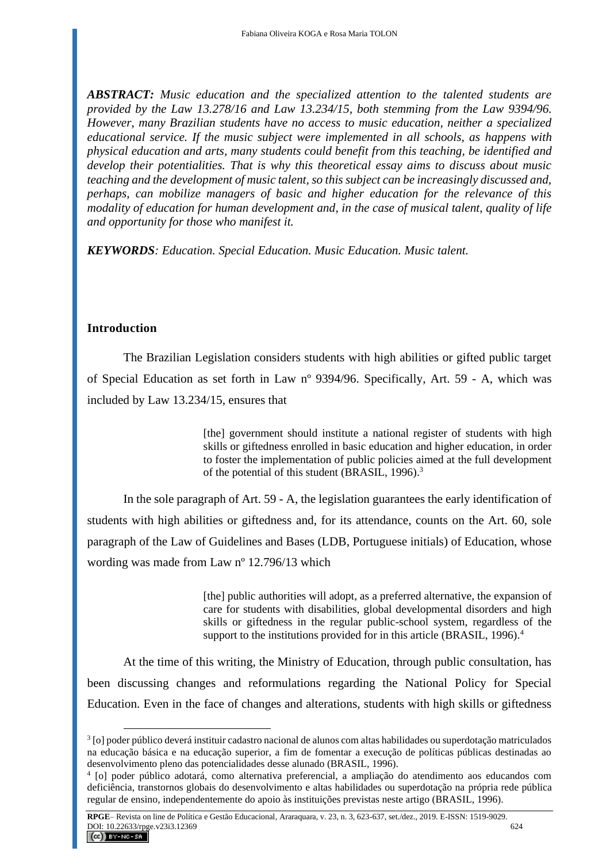*ABSTRACT: Music education and the specialized attention to the talented students are provided by the Law 13.278/16 and Law 13.234/15, both stemming from the Law 9394/96. However, many Brazilian students have no access to music education, neither a specialized educational service. If the music subject were implemented in all schools, as happens with physical education and arts, many students could benefit from this teaching, be identified and develop their potentialities. That is why this theoretical essay aims to discuss about music teaching and the development of music talent, so this subject can be increasingly discussed and, perhaps, can mobilize managers of basic and higher education for the relevance of this modality of education for human development and, in the case of musical talent, quality of life and opportunity for those who manifest it.*

*KEYWORDS: Education. Special Education. Music Education. Music talent.*

### **Introduction**

The Brazilian Legislation considers students with high abilities or gifted public target of Special Education as set forth in Law nº 9394/96. Specifically, Art. 59 - A, which was included by Law 13.234/15, ensures that

> [the] government should institute a national register of students with high skills or giftedness enrolled in basic education and higher education, in order to foster the implementation of public policies aimed at the full development of the potential of this student (BRASIL, 1996).<sup>3</sup>

In the sole paragraph of Art. 59 - A, the legislation guarantees the early identification of students with high abilities or giftedness and, for its attendance, counts on the Art. 60, sole paragraph of the Law of Guidelines and Bases (LDB, Portuguese initials) of Education, whose wording was made from Law nº 12.796/13 which

> [the] public authorities will adopt, as a preferred alternative, the expansion of care for students with disabilities, global developmental disorders and high skills or giftedness in the regular public-school system, regardless of the support to the institutions provided for in this article (BRASIL, 1996).<sup>4</sup>

At the time of this writing, the Ministry of Education, through public consultation, has been discussing changes and reformulations regarding the National Policy for Special Education. Even in the face of changes and alterations, students with high skills or giftedness

<sup>3</sup> [o] poder público deverá instituir cadastro nacional de alunos com altas habilidades ou superdotação matriculados na educação básica e na educação superior, a fim de fomentar a execução de políticas públicas destinadas ao desenvolvimento pleno das potencialidades desse alunado (BRASIL, 1996).

<sup>4</sup> [o] poder público adotará, como alternativa preferencial, a ampliação do atendimento aos educandos com deficiência, transtornos globais do desenvolvimento e altas habilidades ou superdotação na própria rede pública regular de ensino, independentemente do apoio às instituições previstas neste artigo (BRASIL, 1996).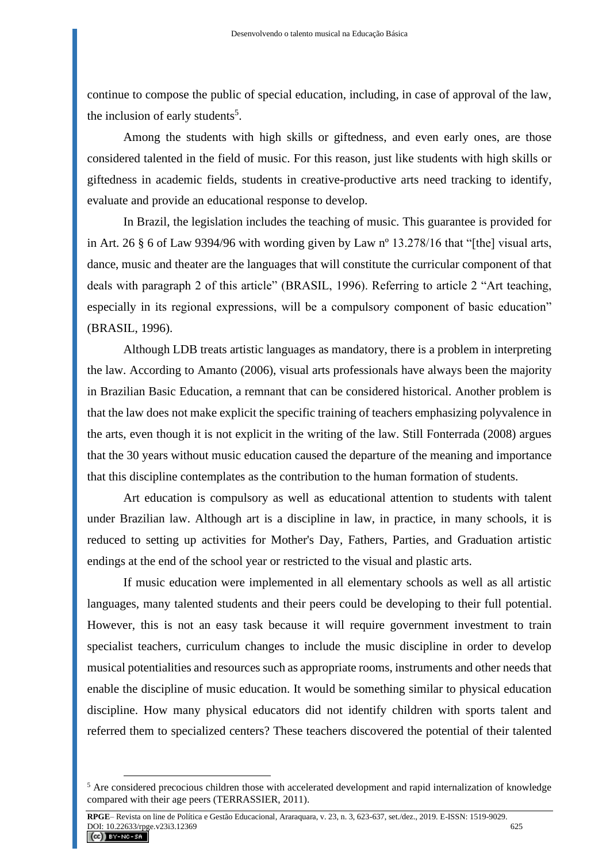continue to compose the public of special education, including, in case of approval of the law, the inclusion of early students<sup>5</sup>.

Among the students with high skills or giftedness, and even early ones, are those considered talented in the field of music. For this reason, just like students with high skills or giftedness in academic fields, students in creative-productive arts need tracking to identify, evaluate and provide an educational response to develop.

In Brazil, the legislation includes the teaching of music. This guarantee is provided for in Art. 26 § 6 of Law 9394/96 with wording given by Law nº 13.278/16 that "[the] visual arts, dance, music and theater are the languages that will constitute the curricular component of that deals with paragraph 2 of this article" (BRASIL, 1996). Referring to article 2 "Art teaching, especially in its regional expressions, will be a compulsory component of basic education" (BRASIL, 1996).

Although LDB treats artistic languages as mandatory, there is a problem in interpreting the law. According to Amanto (2006), visual arts professionals have always been the majority in Brazilian Basic Education, a remnant that can be considered historical. Another problem is that the law does not make explicit the specific training of teachers emphasizing polyvalence in the arts, even though it is not explicit in the writing of the law. Still Fonterrada (2008) argues that the 30 years without music education caused the departure of the meaning and importance that this discipline contemplates as the contribution to the human formation of students.

Art education is compulsory as well as educational attention to students with talent under Brazilian law. Although art is a discipline in law, in practice, in many schools, it is reduced to setting up activities for Mother's Day, Fathers, Parties, and Graduation artistic endings at the end of the school year or restricted to the visual and plastic arts.

If music education were implemented in all elementary schools as well as all artistic languages, many talented students and their peers could be developing to their full potential. However, this is not an easy task because it will require government investment to train specialist teachers, curriculum changes to include the music discipline in order to develop musical potentialities and resources such as appropriate rooms, instruments and other needs that enable the discipline of music education. It would be something similar to physical education discipline. How many physical educators did not identify children with sports talent and referred them to specialized centers? These teachers discovered the potential of their talented

<sup>&</sup>lt;sup>5</sup> Are considered precocious children those with accelerated development and rapid internalization of knowledge compared with their age peers (TERRASSIER, 2011).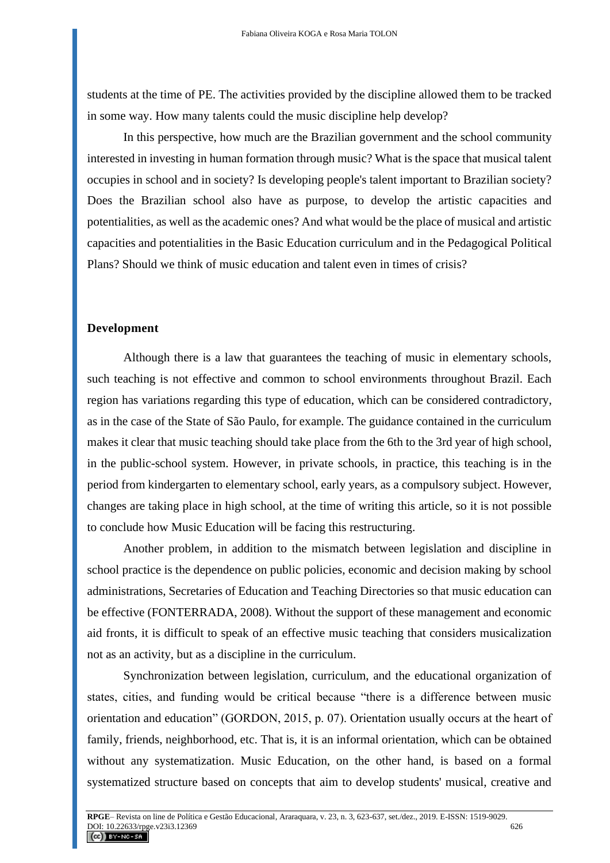students at the time of PE. The activities provided by the discipline allowed them to be tracked in some way. How many talents could the music discipline help develop?

In this perspective, how much are the Brazilian government and the school community interested in investing in human formation through music? What is the space that musical talent occupies in school and in society? Is developing people's talent important to Brazilian society? Does the Brazilian school also have as purpose, to develop the artistic capacities and potentialities, as well as the academic ones? And what would be the place of musical and artistic capacities and potentialities in the Basic Education curriculum and in the Pedagogical Political Plans? Should we think of music education and talent even in times of crisis?

#### **Development**

Although there is a law that guarantees the teaching of music in elementary schools, such teaching is not effective and common to school environments throughout Brazil. Each region has variations regarding this type of education, which can be considered contradictory, as in the case of the State of São Paulo, for example. The guidance contained in the curriculum makes it clear that music teaching should take place from the 6th to the 3rd year of high school, in the public-school system. However, in private schools, in practice, this teaching is in the period from kindergarten to elementary school, early years, as a compulsory subject. However, changes are taking place in high school, at the time of writing this article, so it is not possible to conclude how Music Education will be facing this restructuring.

Another problem, in addition to the mismatch between legislation and discipline in school practice is the dependence on public policies, economic and decision making by school administrations, Secretaries of Education and Teaching Directories so that music education can be effective (FONTERRADA, 2008). Without the support of these management and economic aid fronts, it is difficult to speak of an effective music teaching that considers musicalization not as an activity, but as a discipline in the curriculum.

Synchronization between legislation, curriculum, and the educational organization of states, cities, and funding would be critical because "there is a difference between music orientation and education" (GORDON, 2015, p. 07). Orientation usually occurs at the heart of family, friends, neighborhood, etc. That is, it is an informal orientation, which can be obtained without any systematization. Music Education, on the other hand, is based on a formal systematized structure based on concepts that aim to develop students' musical, creative and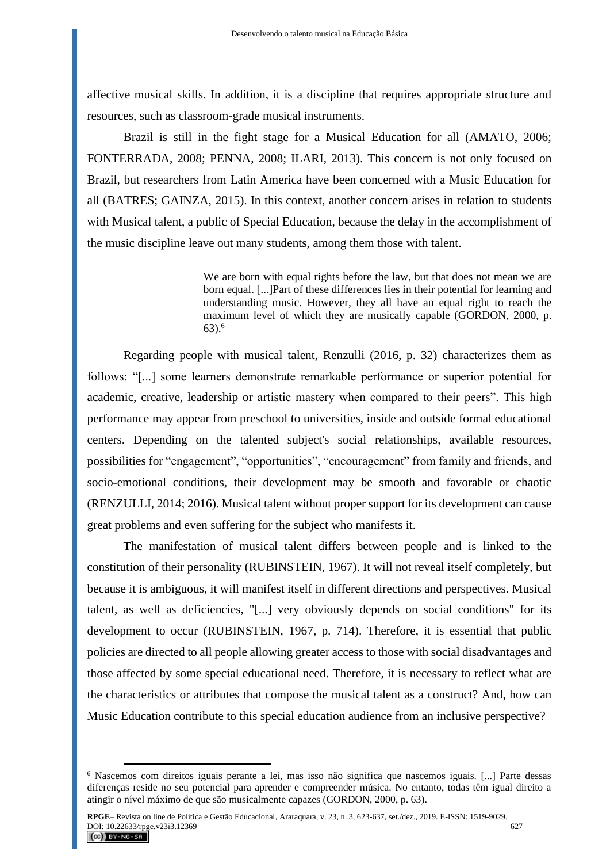affective musical skills. In addition, it is a discipline that requires appropriate structure and resources, such as classroom-grade musical instruments.

Brazil is still in the fight stage for a Musical Education for all (AMATO, 2006; FONTERRADA, 2008; PENNA, 2008; ILARI, 2013). This concern is not only focused on Brazil, but researchers from Latin America have been concerned with a Music Education for all (BATRES; GAINZA, 2015). In this context, another concern arises in relation to students with Musical talent, a public of Special Education, because the delay in the accomplishment of the music discipline leave out many students, among them those with talent.

> We are born with equal rights before the law, but that does not mean we are born equal. [...]Part of these differences lies in their potential for learning and understanding music. However, they all have an equal right to reach the maximum level of which they are musically capable (GORDON, 2000, p.  $63)$ <sup>6</sup>

Regarding people with musical talent, Renzulli (2016, p. 32) characterizes them as follows: "[...] some learners demonstrate remarkable performance or superior potential for academic, creative, leadership or artistic mastery when compared to their peers". This high performance may appear from preschool to universities, inside and outside formal educational centers. Depending on the talented subject's social relationships, available resources, possibilities for "engagement", "opportunities", "encouragement" from family and friends, and socio-emotional conditions, their development may be smooth and favorable or chaotic (RENZULLI, 2014; 2016). Musical talent without proper support for its development can cause great problems and even suffering for the subject who manifests it.

The manifestation of musical talent differs between people and is linked to the constitution of their personality (RUBINSTEIN, 1967). It will not reveal itself completely, but because it is ambiguous, it will manifest itself in different directions and perspectives. Musical talent, as well as deficiencies, "[...] very obviously depends on social conditions" for its development to occur (RUBINSTEIN, 1967, p. 714). Therefore, it is essential that public policies are directed to all people allowing greater access to those with social disadvantages and those affected by some special educational need. Therefore, it is necessary to reflect what are the characteristics or attributes that compose the musical talent as a construct? And, how can Music Education contribute to this special education audience from an inclusive perspective?

<sup>6</sup> Nascemos com direitos iguais perante a lei, mas isso não significa que nascemos iguais. [...] Parte dessas diferenças reside no seu potencial para aprender e compreender música. No entanto, todas têm igual direito a atingir o nível máximo de que são musicalmente capazes (GORDON, 2000, p. 63).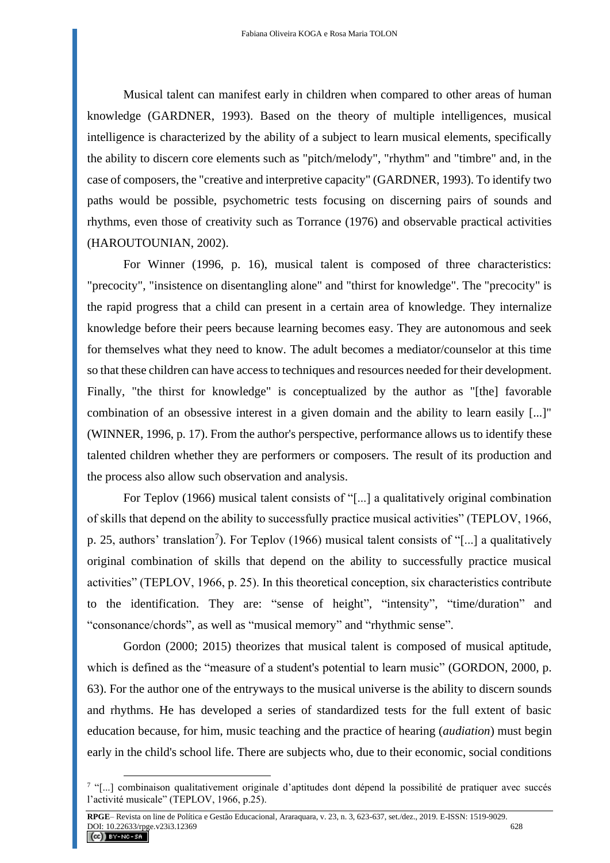Musical talent can manifest early in children when compared to other areas of human knowledge (GARDNER, 1993). Based on the theory of multiple intelligences, musical intelligence is characterized by the ability of a subject to learn musical elements, specifically the ability to discern core elements such as "pitch/melody", "rhythm" and "timbre" and, in the case of composers, the "creative and interpretive capacity" (GARDNER, 1993). To identify two paths would be possible, psychometric tests focusing on discerning pairs of sounds and rhythms, even those of creativity such as Torrance (1976) and observable practical activities (HAROUTOUNIAN, 2002).

For Winner (1996, p. 16), musical talent is composed of three characteristics: "precocity", "insistence on disentangling alone" and "thirst for knowledge". The "precocity" is the rapid progress that a child can present in a certain area of knowledge. They internalize knowledge before their peers because learning becomes easy. They are autonomous and seek for themselves what they need to know. The adult becomes a mediator/counselor at this time so that these children can have access to techniques and resources needed for their development. Finally, "the thirst for knowledge" is conceptualized by the author as "[the] favorable combination of an obsessive interest in a given domain and the ability to learn easily [...]" (WINNER, 1996, p. 17). From the author's perspective, performance allows us to identify these talented children whether they are performers or composers. The result of its production and the process also allow such observation and analysis.

For Teplov (1966) musical talent consists of "[...] a qualitatively original combination of skills that depend on the ability to successfully practice musical activities" (TEPLOV, 1966, p. 25, authors' translation<sup>7</sup>). For Teplov (1966) musical talent consists of "[...] a qualitatively original combination of skills that depend on the ability to successfully practice musical activities" (TEPLOV, 1966, p. 25). In this theoretical conception, six characteristics contribute to the identification. They are: "sense of height", "intensity", "time/duration" and "consonance/chords", as well as "musical memory" and "rhythmic sense".

Gordon (2000; 2015) theorizes that musical talent is composed of musical aptitude, which is defined as the "measure of a student's potential to learn music" (GORDON, 2000, p. 63). For the author one of the entryways to the musical universe is the ability to discern sounds and rhythms. He has developed a series of standardized tests for the full extent of basic education because, for him, music teaching and the practice of hearing (*audiation*) must begin early in the child's school life. There are subjects who, due to their economic, social conditions

<sup>&</sup>lt;sup>7</sup> "[...] combinaison qualitativement originale d'aptitudes dont dépend la possibilité de pratiquer avec succés l'activité musicale" (TEPLOV, 1966, p.25).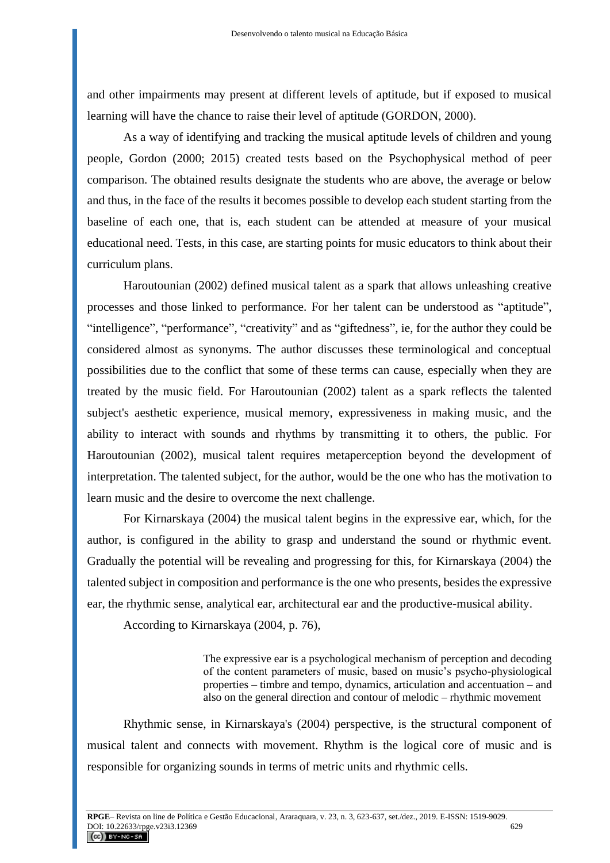and other impairments may present at different levels of aptitude, but if exposed to musical learning will have the chance to raise their level of aptitude (GORDON, 2000).

As a way of identifying and tracking the musical aptitude levels of children and young people, Gordon (2000; 2015) created tests based on the Psychophysical method of peer comparison. The obtained results designate the students who are above, the average or below and thus, in the face of the results it becomes possible to develop each student starting from the baseline of each one, that is, each student can be attended at measure of your musical educational need. Tests, in this case, are starting points for music educators to think about their curriculum plans.

Haroutounian (2002) defined musical talent as a spark that allows unleashing creative processes and those linked to performance. For her talent can be understood as "aptitude", "intelligence", "performance", "creativity" and as "giftedness", ie, for the author they could be considered almost as synonyms. The author discusses these terminological and conceptual possibilities due to the conflict that some of these terms can cause, especially when they are treated by the music field. For Haroutounian (2002) talent as a spark reflects the talented subject's aesthetic experience, musical memory, expressiveness in making music, and the ability to interact with sounds and rhythms by transmitting it to others, the public. For Haroutounian (2002), musical talent requires metaperception beyond the development of interpretation. The talented subject, for the author, would be the one who has the motivation to learn music and the desire to overcome the next challenge.

For Kirnarskaya (2004) the musical talent begins in the expressive ear, which, for the author, is configured in the ability to grasp and understand the sound or rhythmic event. Gradually the potential will be revealing and progressing for this, for Kirnarskaya (2004) the talented subject in composition and performance is the one who presents, besides the expressive ear, the rhythmic sense, analytical ear, architectural ear and the productive-musical ability.

According to Kirnarskaya (2004, p. 76),

The expressive ear is a psychological mechanism of perception and decoding of the content parameters of music, based on music's psycho-physiological properties – timbre and tempo, dynamics, articulation and accentuation – and also on the general direction and contour of melodic – rhythmic movement

Rhythmic sense, in Kirnarskaya's (2004) perspective, is the structural component of musical talent and connects with movement. Rhythm is the logical core of music and is responsible for organizing sounds in terms of metric units and rhythmic cells.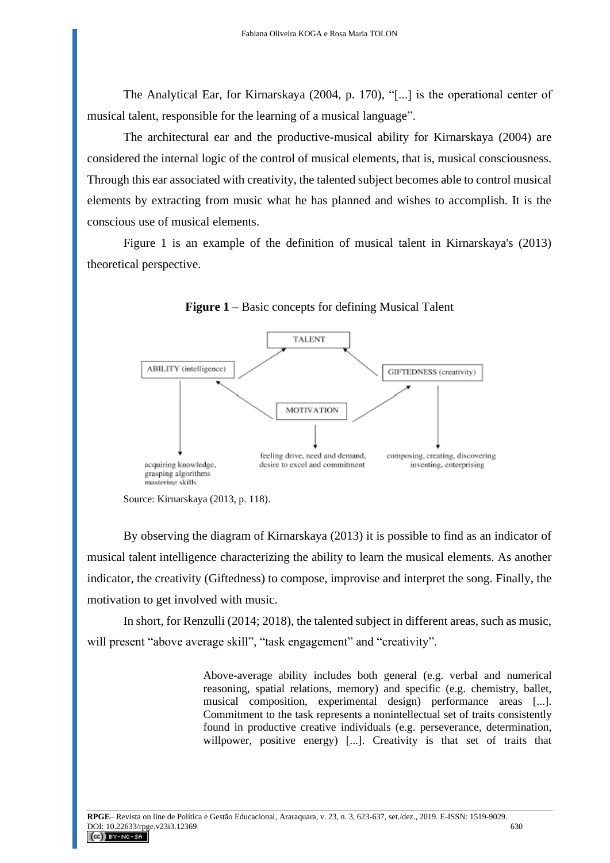The Analytical Ear, for Kirnarskaya (2004, p. 170), "[...] is the operational center of musical talent, responsible for the learning of a musical language".

The architectural ear and the productive-musical ability for Kirnarskaya (2004) are considered the internal logic of the control of musical elements, that is, musical consciousness. Through this ear associated with creativity, the talented subject becomes able to control musical elements by extracting from music what he has planned and wishes to accomplish. It is the conscious use of musical elements.

Figure 1 is an example of the definition of musical talent in Kirnarskaya's (2013) theoretical perspective.



**Figure 1** – Basic concepts for defining Musical Talent

By observing the diagram of Kirnarskaya (2013) it is possible to find as an indicator of musical talent intelligence characterizing the ability to learn the musical elements. As another indicator, the creativity (Giftedness) to compose, improvise and interpret the song. Finally, the motivation to get involved with music.

In short, for Renzulli (2014; 2018), the talented subject in different areas, such as music, will present "above average skill", "task engagement" and "creativity".

> Above-average ability includes both general (e.g. verbal and numerical reasoning, spatial relations, memory) and specific (e.g. chemistry, ballet, musical composition, experimental design) performance areas [...]. Commitment to the task represents a nonintellectual set of traits consistently found in productive creative individuals (e.g. perseverance, determination, willpower, positive energy) [...]. Creativity is that set of traits that

Source: Kirnarskaya (2013, p. 118).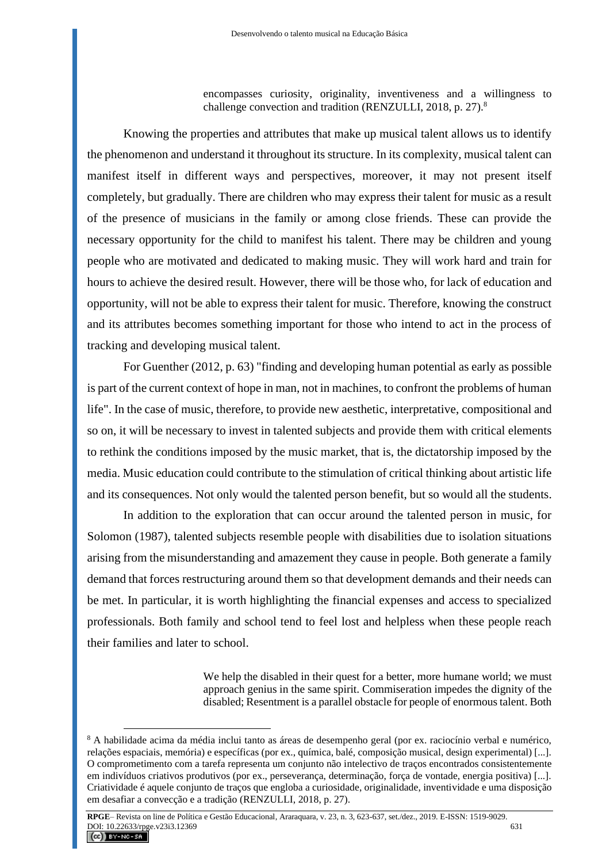encompasses curiosity, originality, inventiveness and a willingness to challenge convection and tradition (RENZULLI, 2018, p. 27).<sup>8</sup>

Knowing the properties and attributes that make up musical talent allows us to identify the phenomenon and understand it throughout its structure. In its complexity, musical talent can manifest itself in different ways and perspectives, moreover, it may not present itself completely, but gradually. There are children who may express their talent for music as a result of the presence of musicians in the family or among close friends. These can provide the necessary opportunity for the child to manifest his talent. There may be children and young people who are motivated and dedicated to making music. They will work hard and train for hours to achieve the desired result. However, there will be those who, for lack of education and opportunity, will not be able to express their talent for music. Therefore, knowing the construct and its attributes becomes something important for those who intend to act in the process of tracking and developing musical talent.

For Guenther (2012, p. 63) "finding and developing human potential as early as possible is part of the current context of hope in man, not in machines, to confront the problems of human life". In the case of music, therefore, to provide new aesthetic, interpretative, compositional and so on, it will be necessary to invest in talented subjects and provide them with critical elements to rethink the conditions imposed by the music market, that is, the dictatorship imposed by the media. Music education could contribute to the stimulation of critical thinking about artistic life and its consequences. Not only would the talented person benefit, but so would all the students.

In addition to the exploration that can occur around the talented person in music, for Solomon (1987), talented subjects resemble people with disabilities due to isolation situations arising from the misunderstanding and amazement they cause in people. Both generate a family demand that forces restructuring around them so that development demands and their needs can be met. In particular, it is worth highlighting the financial expenses and access to specialized professionals. Both family and school tend to feel lost and helpless when these people reach their families and later to school.

> We help the disabled in their quest for a better, more humane world; we must approach genius in the same spirit. Commiseration impedes the dignity of the disabled; Resentment is a parallel obstacle for people of enormous talent. Both

<sup>&</sup>lt;sup>8</sup> A habilidade acima da média inclui tanto as áreas de desempenho geral (por ex. raciocínio verbal e numérico, relações espaciais, memória) e específicas (por ex., química, balé, composição musical, design experimental) [...]. O comprometimento com a tarefa representa um conjunto não intelectivo de traços encontrados consistentemente em indivíduos criativos produtivos (por ex., perseverança, determinação, força de vontade, energia positiva) [...]. Criatividade é aquele conjunto de traços que engloba a curiosidade, originalidade, inventividade e uma disposição em desafiar a convecção e a tradição (RENZULLI, 2018, p. 27).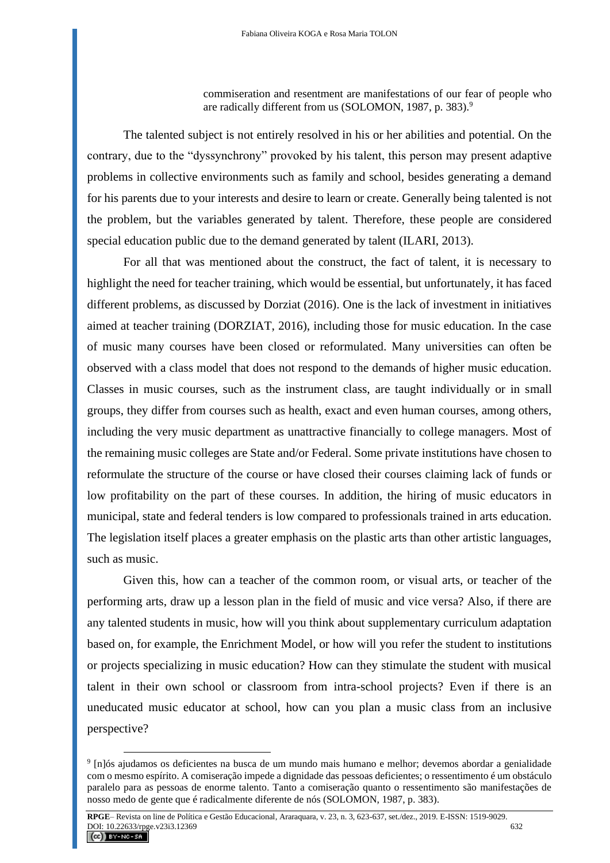commiseration and resentment are manifestations of our fear of people who are radically different from us (SOLOMON, 1987, p. 383).<sup>9</sup>

The talented subject is not entirely resolved in his or her abilities and potential. On the contrary, due to the "dyssynchrony" provoked by his talent, this person may present adaptive problems in collective environments such as family and school, besides generating a demand for his parents due to your interests and desire to learn or create. Generally being talented is not the problem, but the variables generated by talent. Therefore, these people are considered special education public due to the demand generated by talent (ILARI, 2013).

For all that was mentioned about the construct, the fact of talent, it is necessary to highlight the need for teacher training, which would be essential, but unfortunately, it has faced different problems, as discussed by Dorziat (2016). One is the lack of investment in initiatives aimed at teacher training (DORZIAT, 2016), including those for music education. In the case of music many courses have been closed or reformulated. Many universities can often be observed with a class model that does not respond to the demands of higher music education. Classes in music courses, such as the instrument class, are taught individually or in small groups, they differ from courses such as health, exact and even human courses, among others, including the very music department as unattractive financially to college managers. Most of the remaining music colleges are State and/or Federal. Some private institutions have chosen to reformulate the structure of the course or have closed their courses claiming lack of funds or low profitability on the part of these courses. In addition, the hiring of music educators in municipal, state and federal tenders is low compared to professionals trained in arts education. The legislation itself places a greater emphasis on the plastic arts than other artistic languages, such as music.

Given this, how can a teacher of the common room, or visual arts, or teacher of the performing arts, draw up a lesson plan in the field of music and vice versa? Also, if there are any talented students in music, how will you think about supplementary curriculum adaptation based on, for example, the Enrichment Model, or how will you refer the student to institutions or projects specializing in music education? How can they stimulate the student with musical talent in their own school or classroom from intra-school projects? Even if there is an uneducated music educator at school, how can you plan a music class from an inclusive perspective?

<sup>9</sup> [n]ós ajudamos os deficientes na busca de um mundo mais humano e melhor; devemos abordar a genialidade com o mesmo espírito. A comiseração impede a dignidade das pessoas deficientes; o ressentimento é um obstáculo paralelo para as pessoas de enorme talento. Tanto a comiseração quanto o ressentimento são manifestações de nosso medo de gente que é radicalmente diferente de nós (SOLOMON, 1987, p. 383).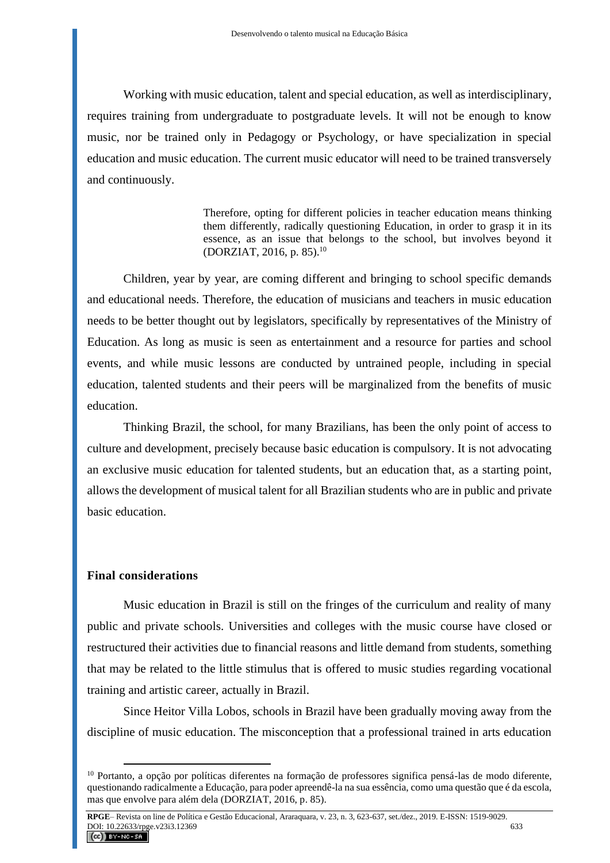Working with music education, talent and special education, as well as interdisciplinary, requires training from undergraduate to postgraduate levels. It will not be enough to know music, nor be trained only in Pedagogy or Psychology, or have specialization in special education and music education. The current music educator will need to be trained transversely and continuously.

> Therefore, opting for different policies in teacher education means thinking them differently, radically questioning Education, in order to grasp it in its essence, as an issue that belongs to the school, but involves beyond it (DORZIAT, 2016, p. 85).<sup>10</sup>

Children, year by year, are coming different and bringing to school specific demands and educational needs. Therefore, the education of musicians and teachers in music education needs to be better thought out by legislators, specifically by representatives of the Ministry of Education. As long as music is seen as entertainment and a resource for parties and school events, and while music lessons are conducted by untrained people, including in special education, talented students and their peers will be marginalized from the benefits of music education.

Thinking Brazil, the school, for many Brazilians, has been the only point of access to culture and development, precisely because basic education is compulsory. It is not advocating an exclusive music education for talented students, but an education that, as a starting point, allows the development of musical talent for all Brazilian students who are in public and private basic education.

### **Final considerations**

Music education in Brazil is still on the fringes of the curriculum and reality of many public and private schools. Universities and colleges with the music course have closed or restructured their activities due to financial reasons and little demand from students, something that may be related to the little stimulus that is offered to music studies regarding vocational training and artistic career, actually in Brazil.

Since Heitor Villa Lobos, schools in Brazil have been gradually moving away from the discipline of music education. The misconception that a professional trained in arts education

<sup>10</sup> Portanto, a opção por políticas diferentes na formação de professores significa pensá-las de modo diferente, questionando radicalmente a Educação, para poder apreendê-la na sua essência, como uma questão que é da escola, mas que envolve para além dela (DORZIAT, 2016, p. 85).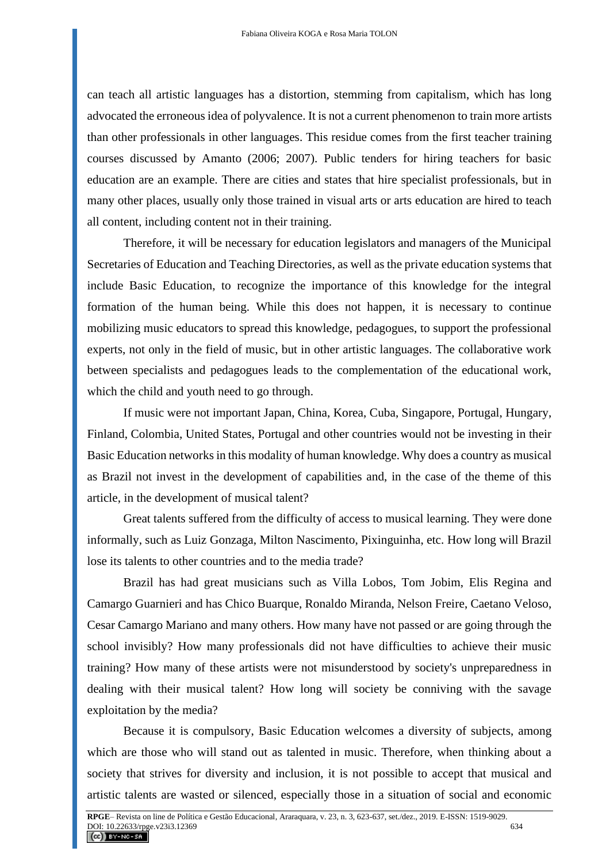can teach all artistic languages has a distortion, stemming from capitalism, which has long advocated the erroneous idea of polyvalence. It is not a current phenomenon to train more artists than other professionals in other languages. This residue comes from the first teacher training courses discussed by Amanto (2006; 2007). Public tenders for hiring teachers for basic education are an example. There are cities and states that hire specialist professionals, but in many other places, usually only those trained in visual arts or arts education are hired to teach all content, including content not in their training.

Therefore, it will be necessary for education legislators and managers of the Municipal Secretaries of Education and Teaching Directories, as well as the private education systems that include Basic Education, to recognize the importance of this knowledge for the integral formation of the human being. While this does not happen, it is necessary to continue mobilizing music educators to spread this knowledge, pedagogues, to support the professional experts, not only in the field of music, but in other artistic languages. The collaborative work between specialists and pedagogues leads to the complementation of the educational work, which the child and youth need to go through.

If music were not important Japan, China, Korea, Cuba, Singapore, Portugal, Hungary, Finland, Colombia, United States, Portugal and other countries would not be investing in their Basic Education networks in this modality of human knowledge. Why does a country as musical as Brazil not invest in the development of capabilities and, in the case of the theme of this article, in the development of musical talent?

Great talents suffered from the difficulty of access to musical learning. They were done informally, such as Luiz Gonzaga, Milton Nascimento, Pixinguinha, etc. How long will Brazil lose its talents to other countries and to the media trade?

Brazil has had great musicians such as Villa Lobos, Tom Jobim, Elis Regina and Camargo Guarnieri and has Chico Buarque, Ronaldo Miranda, Nelson Freire, Caetano Veloso, Cesar Camargo Mariano and many others. How many have not passed or are going through the school invisibly? How many professionals did not have difficulties to achieve their music training? How many of these artists were not misunderstood by society's unpreparedness in dealing with their musical talent? How long will society be conniving with the savage exploitation by the media?

Because it is compulsory, Basic Education welcomes a diversity of subjects, among which are those who will stand out as talented in music. Therefore, when thinking about a society that strives for diversity and inclusion, it is not possible to accept that musical and artistic talents are wasted or silenced, especially those in a situation of social and economic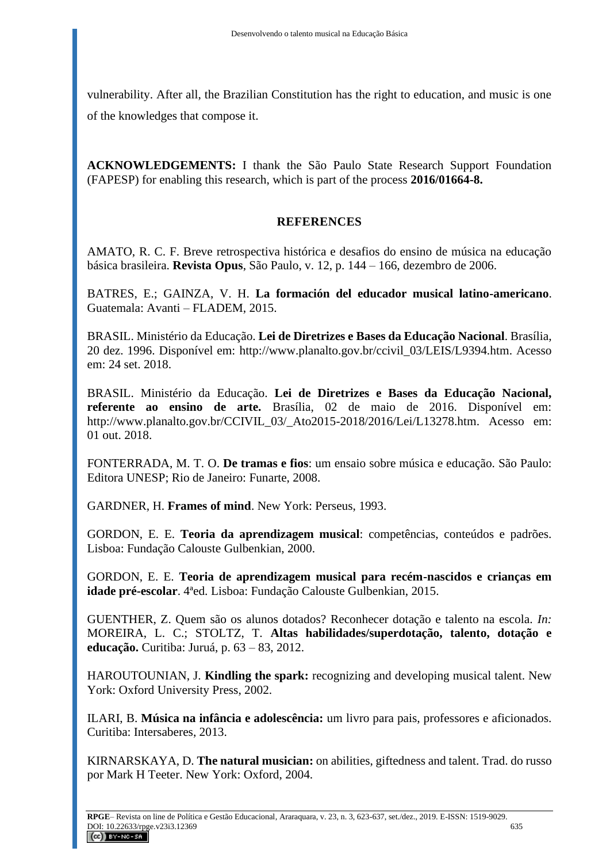vulnerability. After all, the Brazilian Constitution has the right to education, and music is one of the knowledges that compose it.

**ACKNOWLEDGEMENTS:** I thank the São Paulo State Research Support Foundation (FAPESP) for enabling this research, which is part of the process **2016/01664-8.**

## **REFERENCES**

AMATO, R. C. F. Breve retrospectiva histórica e desafios do ensino de música na educação básica brasileira. **Revista Opus**, São Paulo, v. 12, p. 144 – 166, dezembro de 2006.

BATRES, E.; GAINZA, V. H. **La formación del educador musical latino-americano**. Guatemala: Avanti – FLADEM, 2015.

BRASIL. Ministério da Educação. **Lei de Diretrizes e Bases da Educação Nacional**. Brasília, 20 dez. 1996. Disponível em: [http://www.planalto.gov.br/ccivil\\_03/LEIS/L9394.htm.](http://www.planalto.gov.br/ccivil_03/LEIS/L9394.htm) Acesso em: 24 set. 2018.

BRASIL. Ministério da Educação. **Lei de Diretrizes e Bases da Educação Nacional, referente ao ensino de arte.** Brasília, 02 de maio de 2016. Disponível em: http://www.planalto.gov.br/CCIVIL 03/ Ato2015-2018/2016/Lei/L13278.htm. Acesso em: 01 out. 2018.

FONTERRADA, M. T. O. **De tramas e fios**: um ensaio sobre música e educação. São Paulo: Editora UNESP; Rio de Janeiro: Funarte, 2008.

GARDNER, H. **Frames of mind**. New York: Perseus, 1993.

GORDON, E. E. **Teoria da aprendizagem musical**: competências, conteúdos e padrões. Lisboa: Fundação Calouste Gulbenkian, 2000.

GORDON, E. E. **Teoria de aprendizagem musical para recém-nascidos e crianças em idade pré-escolar**. 4ªed. Lisboa: Fundação Calouste Gulbenkian, 2015.

GUENTHER, Z. Quem são os alunos dotados? Reconhecer dotação e talento na escola. *In:* MOREIRA, L. C.; STOLTZ, T. **Altas habilidades/superdotação, talento, dotação e educação.** Curitiba: Juruá, p. 63 – 83, 2012.

HAROUTOUNIAN, J. **Kindling the spark:** recognizing and developing musical talent. New York: Oxford University Press, 2002.

ILARI, B. **Música na infância e adolescência:** um livro para pais, professores e aficionados. Curitiba: Intersaberes, 2013.

KIRNARSKAYA, D. **The natural musician:** on abilities, giftedness and talent. Trad. do russo por Mark H Teeter. New York: Oxford, 2004.